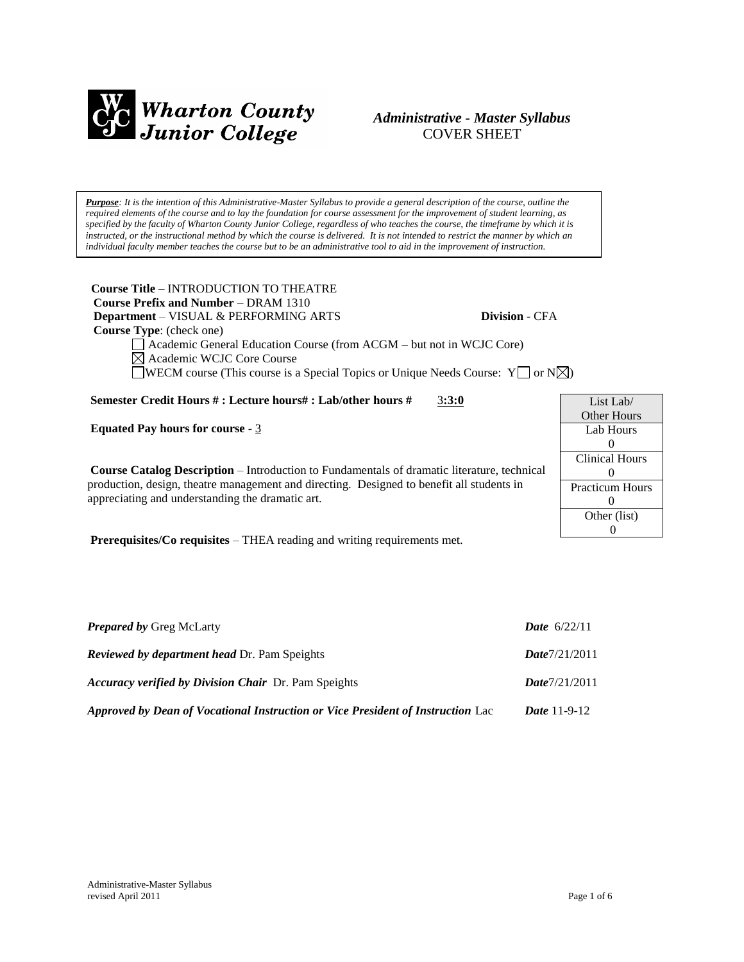

## *Administrative - Master Syllabus*  COVER SHEET

*Purpose: It is the intention of this Administrative-Master Syllabus to provide a general description of the course, outline the required elements of the course and to lay the foundation for course assessment for the improvement of student learning, as specified by the faculty of Wharton County Junior College, regardless of who teaches the course, the timeframe by which it is instructed, or the instructional method by which the course is delivered. It is not intended to restrict the manner by which an individual faculty member teaches the course but to be an administrative tool to aid in the improvement of instruction.*

**Course Title** – INTRODUCTION TO THEATRE  **Course Prefix and Number** – DRAM 1310  **Department** – VISUAL & PERFORMING ARTS **Division** - CFA  **Course Type**: (check one)

List Lab/ Other Hours Lab Hours  $\theta$ Clinical Hours  $\Omega$ Practicum Hours 0 Other (list) 0

Academic General Education Course (from ACGM – but not in WCJC Core) Academic WCJC Core Course

WECM course (This course is a Special Topics or Unique Needs Course:  $Y \cap N \times$ )

**Semester Credit Hours # : Lecture hours# : Lab/other hours #** 3**:3:0**

**Equated Pay hours for course** - 3

**Course Catalog Description** – Introduction to Fundamentals of dramatic literature, technical production, design, theatre management and directing. Designed to benefit all students in appreciating and understanding the dramatic art.

**Prerequisites/Co requisites** – THEA reading and writing requirements met.

| <b>Prepared by Greg McLarty</b>                                                 | <b>Date</b> $6/22/11$ |
|---------------------------------------------------------------------------------|-----------------------|
| <b>Reviewed by department head Dr. Pam Speights</b>                             | Date7/21/2011         |
| <b>Accuracy verified by Division Chair</b> Dr. Pam Speights                     | Date7/21/2011         |
| Approved by Dean of Vocational Instruction or Vice President of Instruction Lac | <i>Date</i> $11-9-12$ |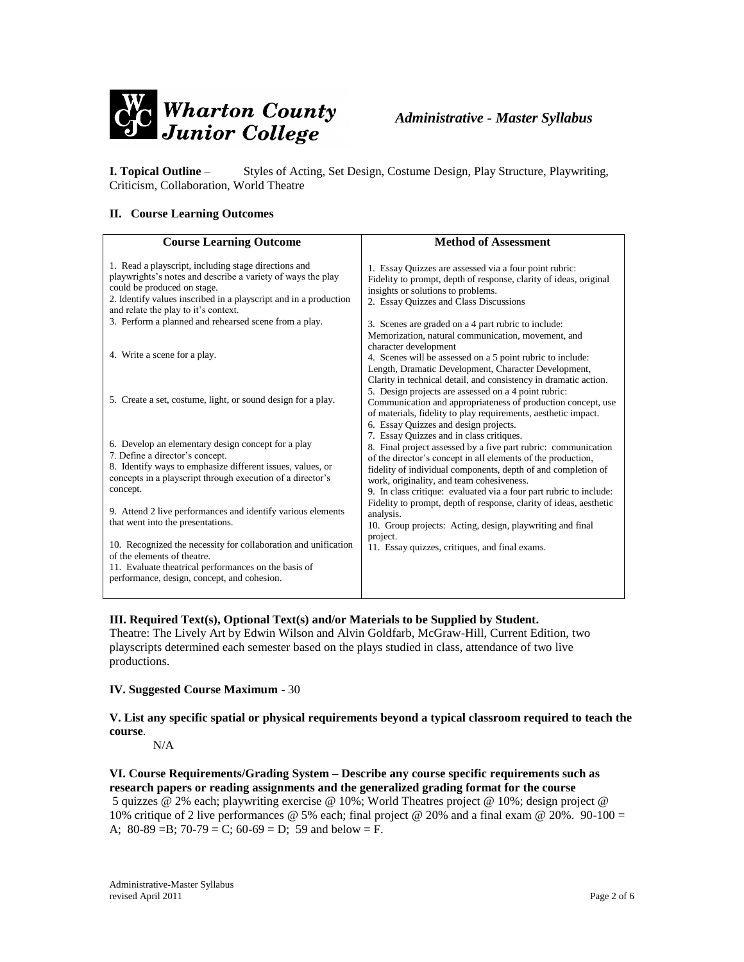

**I. Topical Outline** – Styles of Acting, Set Design, Costume Design, Play Structure, Playwriting, Criticism, Collaboration, World Theatre

### **II. Course Learning Outcomes**

| <b>Course Learning Outcome</b>                                                                                                                                                                                                                                                                                          | <b>Method of Assessment</b>                                                                                                                                                                                                                                                                                                                                    |
|-------------------------------------------------------------------------------------------------------------------------------------------------------------------------------------------------------------------------------------------------------------------------------------------------------------------------|----------------------------------------------------------------------------------------------------------------------------------------------------------------------------------------------------------------------------------------------------------------------------------------------------------------------------------------------------------------|
| 1. Read a playscript, including stage directions and<br>playwrights's notes and describe a variety of ways the play<br>could be produced on stage.<br>2. Identify values inscribed in a playscript and in a production<br>and relate the play to it's context.<br>3. Perform a planned and rehearsed scene from a play. | 1. Essay Quizzes are assessed via a four point rubric:<br>Fidelity to prompt, depth of response, clarity of ideas, original<br>insights or solutions to problems.<br>2. Essay Quizzes and Class Discussions<br>3. Scenes are graded on a 4 part rubric to include:<br>Memorization, natural communication, movement, and                                       |
| 4. Write a scene for a play.                                                                                                                                                                                                                                                                                            | character development<br>4. Scenes will be assessed on a 5 point rubric to include:<br>Length, Dramatic Development, Character Development,                                                                                                                                                                                                                    |
| 5. Create a set, costume, light, or sound design for a play.                                                                                                                                                                                                                                                            | Clarity in technical detail, and consistency in dramatic action.<br>5. Design projects are assessed on a 4 point rubric:<br>Communication and appropriateness of production concept, use<br>of materials, fidelity to play requirements, aesthetic impact.<br>6. Essay Quizzes and design projects.                                                            |
| 6. Develop an elementary design concept for a play<br>7. Define a director's concept.<br>8. Identify ways to emphasize different issues, values, or<br>concepts in a playscript through execution of a director's<br>concept.                                                                                           | 7. Essay Quizzes and in class critiques.<br>8. Final project assessed by a five part rubric: communication<br>of the director's concept in all elements of the production,<br>fidelity of individual components, depth of and completion of<br>work, originality, and team cohesiveness.<br>9. In class critique: evaluated via a four part rubric to include: |
| 9. Attend 2 live performances and identify various elements<br>that went into the presentations.                                                                                                                                                                                                                        | Fidelity to prompt, depth of response, clarity of ideas, aesthetic<br>analysis.<br>10. Group projects: Acting, design, playwriting and final                                                                                                                                                                                                                   |
| 10. Recognized the necessity for collaboration and unification<br>of the elements of theatre.<br>11. Evaluate theatrical performances on the basis of<br>performance, design, concept, and cohesion.                                                                                                                    | project.<br>11. Essay quizzes, critiques, and final exams.                                                                                                                                                                                                                                                                                                     |

#### **III. Required Text(s), Optional Text(s) and/or Materials to be Supplied by Student.**

Theatre: The Lively Art by Edwin Wilson and Alvin Goldfarb, McGraw-Hill, Current Edition, two playscripts determined each semester based on the plays studied in class, attendance of two live productions.

### **IV. Suggested Course Maximum** - 30

**V. List any specific spatial or physical requirements beyond a typical classroom required to teach the course**.

N/A

## **VI. Course Requirements/Grading System – Describe any course specific requirements such as research papers or reading assignments and the generalized grading format for the course**

5 quizzes @ 2% each; playwriting exercise @ 10%; World Theatres project @ 10%; design project @ 10% critique of 2 live performances @ 5% each; final project @ 20% and a final exam @ 20%. 90-100 = A;  $80-89 = B$ ;  $70-79 = C$ ;  $60-69 = D$ ; 59 and below = F.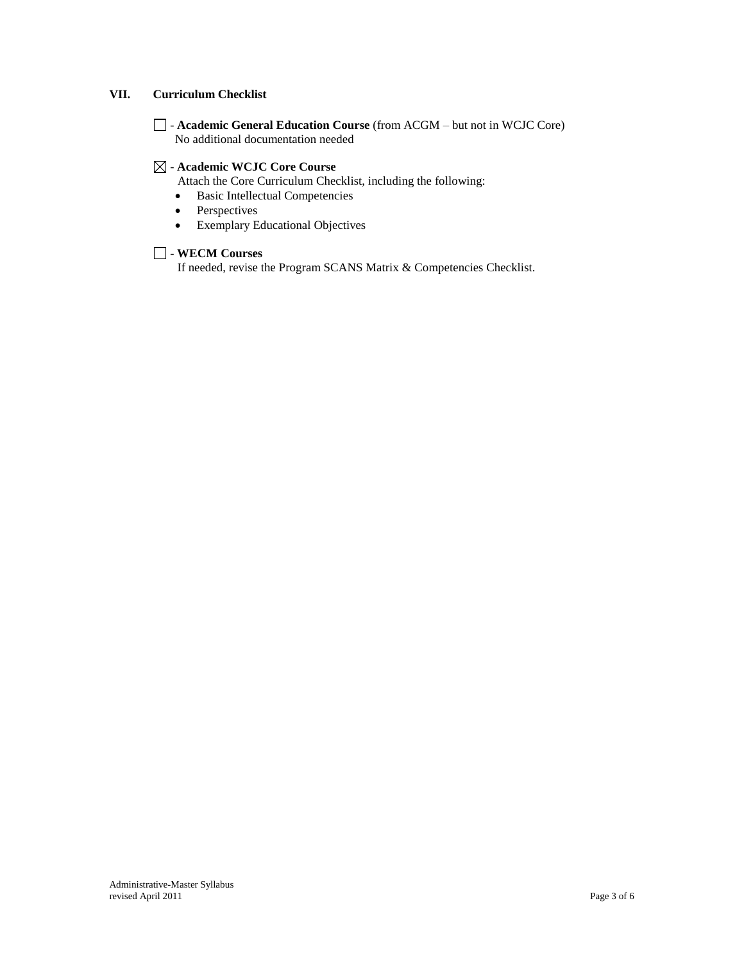### **VII. Curriculum Checklist**

- **Academic General Education Course** (from ACGM – but not in WCJC Core) No additional documentation needed

### - **Academic WCJC Core Course**

Attach the Core Curriculum Checklist, including the following:

- Basic Intellectual Competencies
- Perspectives
- Exemplary Educational Objectives

### - **WECM Courses**

If needed, revise the Program SCANS Matrix & Competencies Checklist.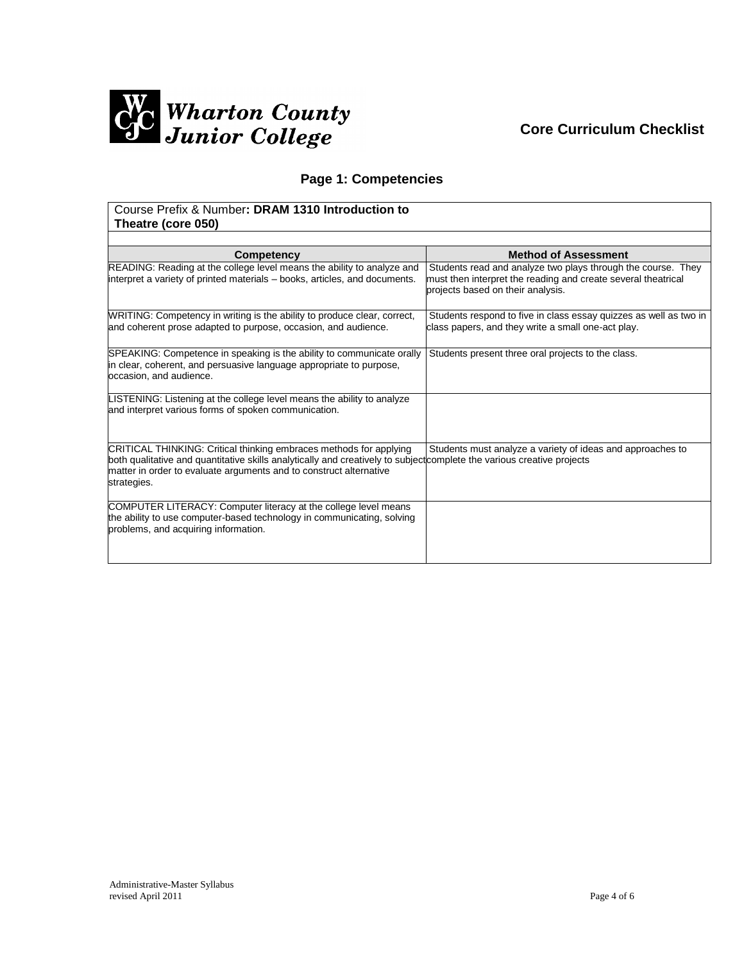

# **Core Curriculum Checklist**

## **Page 1: Competencies**

### Course Prefix & Number**: DRAM 1310 Introduction to Theatre (core 050)**

| Competency                                                                                                                                                                                                                                                                        | <b>Method of Assessment</b>                                                                                                                                        |
|-----------------------------------------------------------------------------------------------------------------------------------------------------------------------------------------------------------------------------------------------------------------------------------|--------------------------------------------------------------------------------------------------------------------------------------------------------------------|
| READING: Reading at the college level means the ability to analyze and<br>interpret a variety of printed materials – books, articles, and documents.                                                                                                                              | Students read and analyze two plays through the course. They<br>must then interpret the reading and create several theatrical<br>projects based on their analysis. |
| WRITING: Competency in writing is the ability to produce clear, correct,<br>and coherent prose adapted to purpose, occasion, and audience.                                                                                                                                        | Students respond to five in class essay quizzes as well as two in<br>class papers, and they write a small one-act play.                                            |
| SPEAKING: Competence in speaking is the ability to communicate orally<br>in clear, coherent, and persuasive language appropriate to purpose,<br>occasion, and audience.                                                                                                           | Students present three oral projects to the class.                                                                                                                 |
| LISTENING: Listening at the college level means the ability to analyze<br>and interpret various forms of spoken communication.                                                                                                                                                    |                                                                                                                                                                    |
| CRITICAL THINKING: Critical thinking embraces methods for applying<br>both qualitative and quantitative skills analytically and creatively to subject complete the various creative projects<br>matter in order to evaluate arguments and to construct alternative<br>strategies. | Students must analyze a variety of ideas and approaches to                                                                                                         |
| COMPUTER LITERACY: Computer literacy at the college level means<br>the ability to use computer-based technology in communicating, solving<br>problems, and acquiring information.                                                                                                 |                                                                                                                                                                    |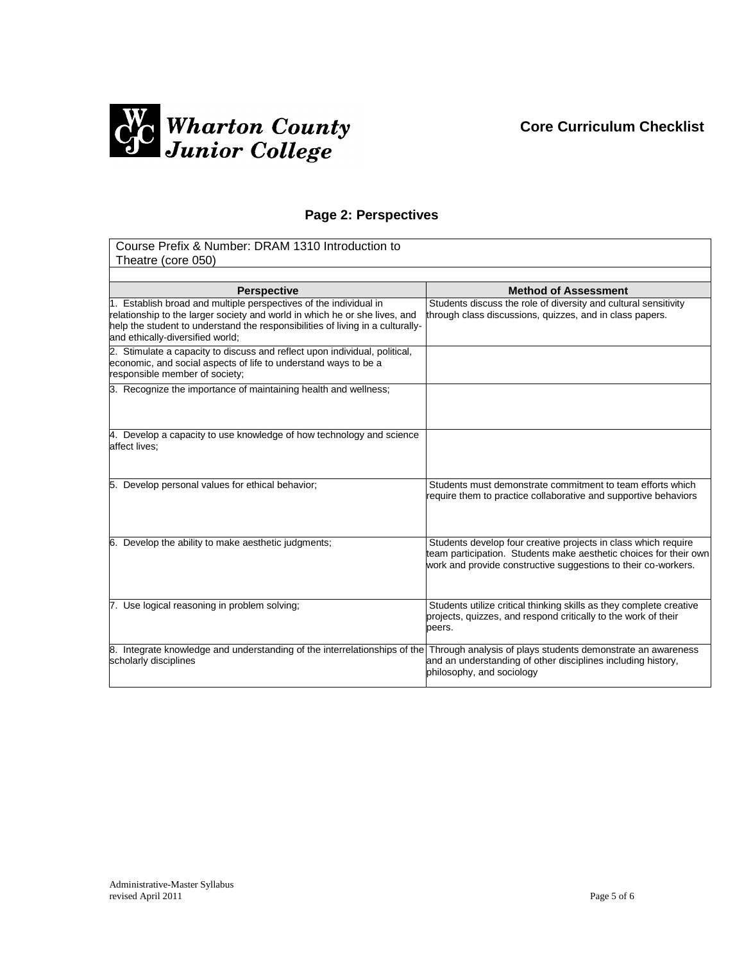## **Core Curriculum Checklist**



## **Page 2: Perspectives**

| Course Prefix & Number: DRAM 1310 Introduction to<br>Theatre (core 050)                                                                                                                                                                                               |                                                                                                                                                                                                       |
|-----------------------------------------------------------------------------------------------------------------------------------------------------------------------------------------------------------------------------------------------------------------------|-------------------------------------------------------------------------------------------------------------------------------------------------------------------------------------------------------|
|                                                                                                                                                                                                                                                                       |                                                                                                                                                                                                       |
| <b>Perspective</b>                                                                                                                                                                                                                                                    | <b>Method of Assessment</b>                                                                                                                                                                           |
| 1. Establish broad and multiple perspectives of the individual in<br>relationship to the larger society and world in which he or she lives, and<br>help the student to understand the responsibilities of living in a culturally-<br>and ethically-diversified world; | Students discuss the role of diversity and cultural sensitivity<br>through class discussions, quizzes, and in class papers.                                                                           |
| 2. Stimulate a capacity to discuss and reflect upon individual, political,<br>economic, and social aspects of life to understand ways to be a<br>responsible member of society;                                                                                       |                                                                                                                                                                                                       |
| 3. Recognize the importance of maintaining health and wellness;                                                                                                                                                                                                       |                                                                                                                                                                                                       |
| 4. Develop a capacity to use knowledge of how technology and science<br>affect lives;                                                                                                                                                                                 |                                                                                                                                                                                                       |
| 5. Develop personal values for ethical behavior;                                                                                                                                                                                                                      | Students must demonstrate commitment to team efforts which<br>require them to practice collaborative and supportive behaviors                                                                         |
| 6. Develop the ability to make aesthetic judgments;                                                                                                                                                                                                                   | Students develop four creative projects in class which require<br>team participation. Students make aesthetic choices for their own<br>work and provide constructive suggestions to their co-workers. |
| 7. Use logical reasoning in problem solving;                                                                                                                                                                                                                          | Students utilize critical thinking skills as they complete creative<br>projects, quizzes, and respond critically to the work of their<br>peers.                                                       |
| 8. Integrate knowledge and understanding of the interrelationships of the Through analysis of plays students demonstrate an awareness<br>scholarly disciplines                                                                                                        | and an understanding of other disciplines including history,<br>philosophy, and sociology                                                                                                             |